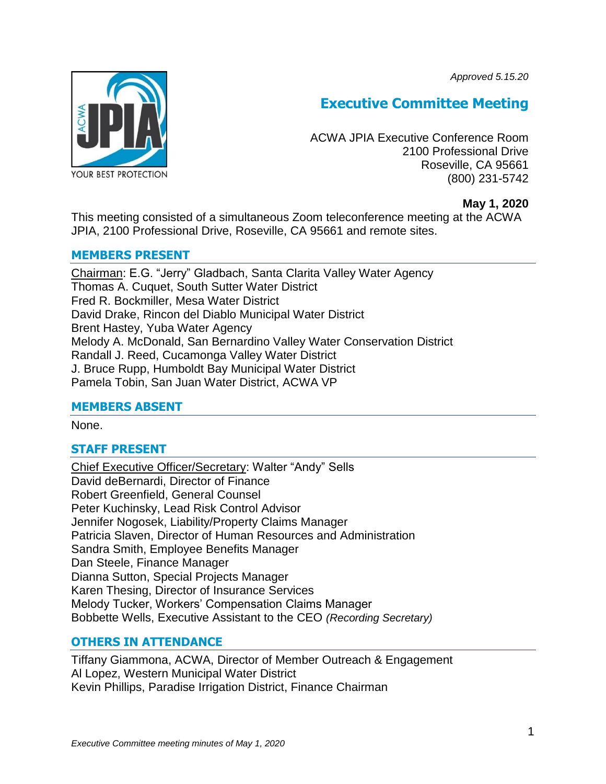*Approved 5.15.20*



# **Executive Committee Meeting**

ACWA JPIA Executive Conference Room 2100 Professional Drive Roseville, CA 95661 (800) 231-5742

### **May 1, 2020**

This meeting consisted of a simultaneous Zoom teleconference meeting at the ACWA JPIA, 2100 Professional Drive, Roseville, CA 95661 and remote sites.

## **MEMBERS PRESENT**

Chairman: E.G. "Jerry" Gladbach, Santa Clarita Valley Water Agency Thomas A. Cuquet, South Sutter Water District Fred R. Bockmiller, Mesa Water District David Drake, Rincon del Diablo Municipal Water District Brent Hastey, Yuba Water Agency Melody A. McDonald, San Bernardino Valley Water Conservation District Randall J. Reed, Cucamonga Valley Water District J. Bruce Rupp, Humboldt Bay Municipal Water District Pamela Tobin, San Juan Water District, ACWA VP

## **MEMBERS ABSENT**

None.

## **STAFF PRESENT**

Chief Executive Officer/Secretary: Walter "Andy" Sells David deBernardi, Director of Finance Robert Greenfield, General Counsel Peter Kuchinsky, Lead Risk Control Advisor Jennifer Nogosek, Liability/Property Claims Manager Patricia Slaven, Director of Human Resources and Administration Sandra Smith, Employee Benefits Manager Dan Steele, Finance Manager Dianna Sutton, Special Projects Manager Karen Thesing, Director of Insurance Services Melody Tucker, Workers' Compensation Claims Manager Bobbette Wells, Executive Assistant to the CEO *(Recording Secretary)*

# **OTHERS IN ATTENDANCE**

Tiffany Giammona, ACWA, Director of Member Outreach & Engagement Al Lopez, Western Municipal Water District Kevin Phillips, Paradise Irrigation District, Finance Chairman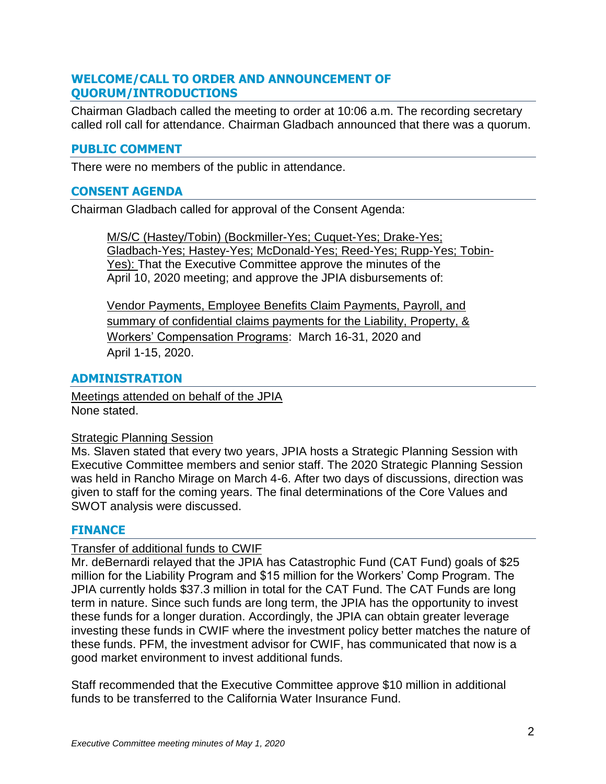# **WELCOME/CALL TO ORDER AND ANNOUNCEMENT OF QUORUM/INTRODUCTIONS**

Chairman Gladbach called the meeting to order at 10:06 a.m. The recording secretary called roll call for attendance. Chairman Gladbach announced that there was a quorum.

# **PUBLIC COMMENT**

There were no members of the public in attendance.

# **CONSENT AGENDA**

Chairman Gladbach called for approval of the Consent Agenda:

M/S/C (Hastey/Tobin) (Bockmiller-Yes; Cuquet-Yes; Drake-Yes; Gladbach-Yes; Hastey-Yes; McDonald-Yes; Reed-Yes; Rupp-Yes; Tobin-Yes): That the Executive Committee approve the minutes of the April 10, 2020 meeting; and approve the JPIA disbursements of:

Vendor Payments, Employee Benefits Claim Payments, Payroll, and summary of confidential claims payments for the Liability, Property, & Workers' Compensation Programs: March 16-31, 2020 and April 1-15, 2020.

# **ADMINISTRATION**

Meetings attended on behalf of the JPIA None stated.

## Strategic Planning Session

Ms. Slaven stated that every two years, JPIA hosts a Strategic Planning Session with Executive Committee members and senior staff. The 2020 Strategic Planning Session was held in Rancho Mirage on March 4-6. After two days of discussions, direction was given to staff for the coming years. The final determinations of the Core Values and SWOT analysis were discussed.

# **FINANCE**

## Transfer of additional funds to CWIF

Mr. deBernardi relayed that the JPIA has Catastrophic Fund (CAT Fund) goals of \$25 million for the Liability Program and \$15 million for the Workers' Comp Program. The JPIA currently holds \$37.3 million in total for the CAT Fund. The CAT Funds are long term in nature. Since such funds are long term, the JPIA has the opportunity to invest these funds for a longer duration. Accordingly, the JPIA can obtain greater leverage investing these funds in CWIF where the investment policy better matches the nature of these funds. PFM, the investment advisor for CWIF, has communicated that now is a good market environment to invest additional funds.

Staff recommended that the Executive Committee approve \$10 million in additional funds to be transferred to the California Water Insurance Fund.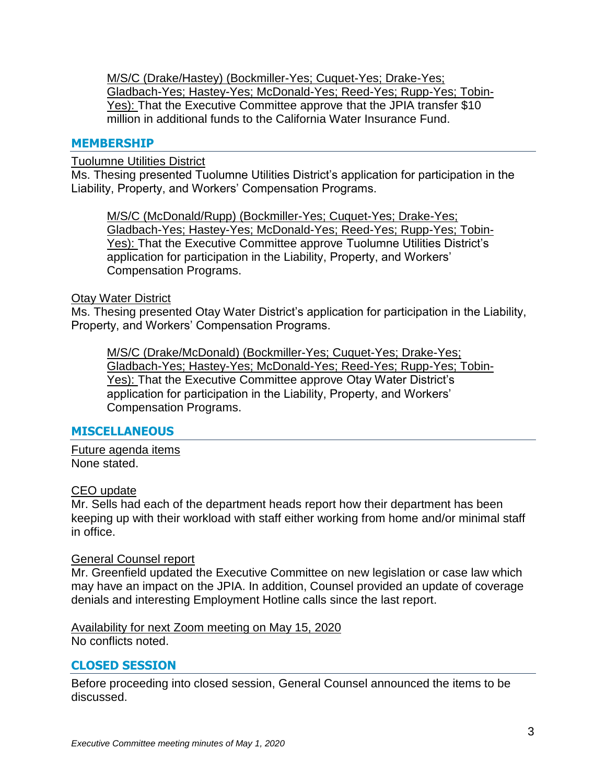M/S/C (Drake/Hastey) (Bockmiller-Yes; Cuquet-Yes; Drake-Yes; Gladbach-Yes; Hastey-Yes; McDonald-Yes; Reed-Yes; Rupp-Yes; Tobin-Yes): That the Executive Committee approve that the JPIA transfer \$10 million in additional funds to the California Water Insurance Fund.

#### **MEMBERSHIP**

#### Tuolumne Utilities District

Ms. Thesing presented Tuolumne Utilities District's application for participation in the Liability, Property, and Workers' Compensation Programs.

M/S/C (McDonald/Rupp) (Bockmiller-Yes; Cuquet-Yes; Drake-Yes; Gladbach-Yes; Hastey-Yes; McDonald-Yes; Reed-Yes; Rupp-Yes; Tobin-Yes): That the Executive Committee approve Tuolumne Utilities District's application for participation in the Liability, Property, and Workers' Compensation Programs.

#### Otay Water District

Ms. Thesing presented Otay Water District's application for participation in the Liability, Property, and Workers' Compensation Programs.

M/S/C (Drake/McDonald) (Bockmiller-Yes; Cuquet-Yes; Drake-Yes; Gladbach-Yes; Hastey-Yes; McDonald-Yes; Reed-Yes; Rupp-Yes; Tobin-Yes): That the Executive Committee approve Otay Water District's application for participation in the Liability, Property, and Workers' Compensation Programs.

### **MISCELLANEOUS**

Future agenda items None stated.

### CEO update

Mr. Sells had each of the department heads report how their department has been keeping up with their workload with staff either working from home and/or minimal staff in office.

## General Counsel report

Mr. Greenfield updated the Executive Committee on new legislation or case law which may have an impact on the JPIA. In addition, Counsel provided an update of coverage denials and interesting Employment Hotline calls since the last report.

Availability for next Zoom meeting on May 15, 2020 No conflicts noted.

### **CLOSED SESSION**

Before proceeding into closed session, General Counsel announced the items to be discussed.